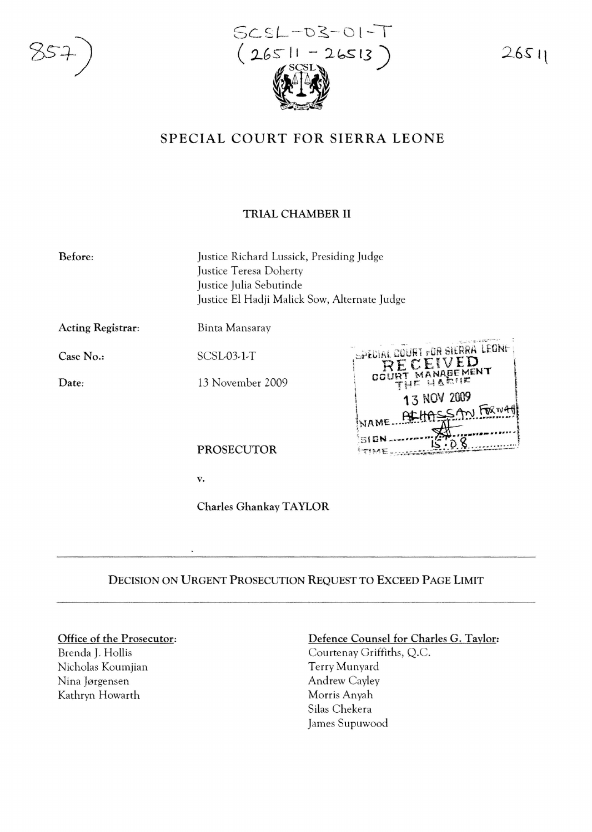

 $SCSL-DS-OI$ -( *2.GS-* II - 2~ 1])  $\mathscr{L} \rightarrow \mathscr{L}$  $\frac{1}{2}$ 

*2 6S-* It

# SPECIAL COURT FOR SIERRA LEONE

# TRIAL CHAMBER II

Before: Justice Richard Lussick, Presiding Judge Justice Teresa Doherty Justice Julia Sebutinde Justice EI Hadji Malick Sow, Alternate Judge

Acting Registrar:

Binta Mansaray

Case No..

Date:

SCSL-03-1-T

13 November 2009



PROSECUTOR

v.

Charles GhankayTAYLOR

# DECISION ON URGENT PROSECUTION REQUEST TO EXCEED PAGE LIMIT

#### Office of the Prosecutor:

Brenda J. Hollis Nicholas Koumjian Nina Jørgensen Kathryn Howarth

## Defence Counsel for Charles G. Taylor:

Courtenay Griffiths, Q.C. Terry Munyard Andrew Cayley Morris Anyah Silas Chekera James Supuwood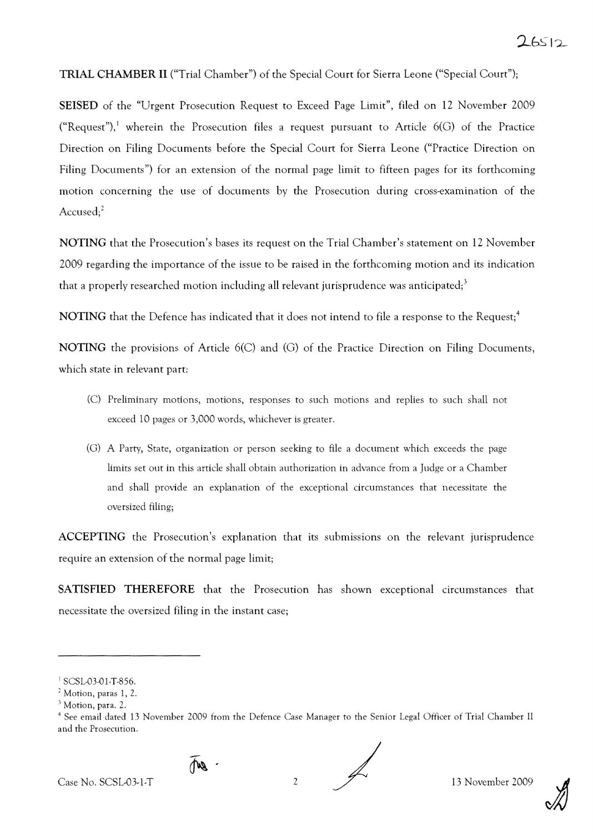### TRIAL CHAMBER II ("Trial Chamber") of the Special Court for Sierra Leone ("Special Court");

SEISED of the "Urgent Prosecution Request to Exceed Page Limit", filed on 12 November 2009 ("Request"),<sup>1</sup> wherein the Prosecution files a request pursuant to Article  $6(G)$  of the Practice Direction on Filing Documents before the Special Court for Sierra Leone ("Practice Direction on Filing Documents") for an extension of the normal page limit to fifteen pages for its forthcoming motion concerning the use of documents by the Prosecution during cross-examination of the Accused;<sup>2</sup>

NOTING that the Prosecution's bases its request on the Trial Chamber's statement on 12 November 2009 regarding the importance of the issue to be raised in the forthcoming motion and its indication that a properly researched motion including all relevant jurisprudence was anticipated;<sup>3</sup>

NOTING that the Defence has indicated that it does not intend to file a response to the Request;<sup>4</sup>

NOTING the provisions of Article 6(C) and (G) of the Practice Direction on Filing Documents, which state in relevant part:

- (C) Preliminary motions, motions, responses to such motions and replies to such shall not exceed 10 pages or 3,000 words, whichever is greater.
- (G ) A Party, State, organization or person seeking to file a document which exceeds the page limits set out in this article shall obtain authorization in advance from a Judge or a Chamber and shall provide an explanation of the exceptional circumstances that necessitate the oversized filing;

ACCEPTING the Prosecution's explanation that its submissions on the relevant jurisprudence require an extension of the normal page limit;

SATISFIED THEREFORE that the Prosecution has shown exceptional circumstances that necessitate the oversized filing in the instant case;



 $\mathbb{R}$ .

<sup>&</sup>lt;sup>1</sup> SCSL-03-01-T-856.

<sup>,</sup> Motion, paras I, 2.

 $<sup>3</sup>$  Motion, para. 2.</sup>

<sup>&</sup>lt;sup>4</sup> See email dated 13 November 2009 from the Defence Case Manager to the Senior Legal Officer of Trial Chamber II and the Prosecution.